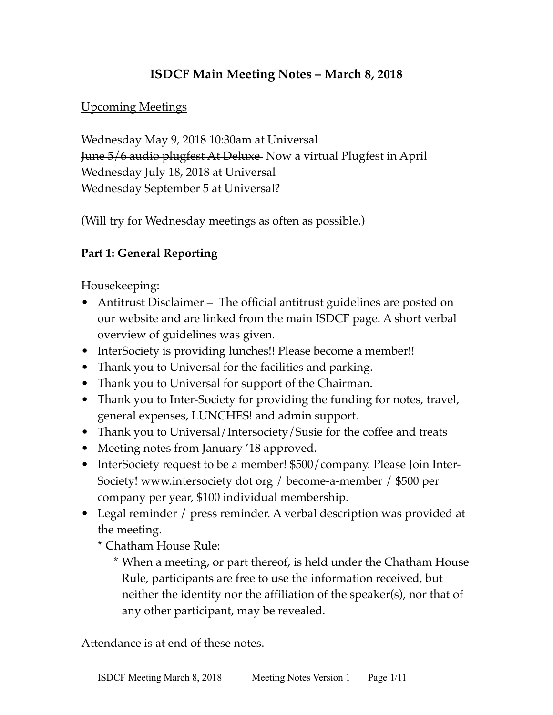# **ISDCF Main Meeting Notes – March 8, 2018**

#### Upcoming Meetings

Wednesday May 9, 2018 10:30am at Universal June 5/6 audio plugfest At Deluxe Now a virtual Plugfest in April Wednesday July 18, 2018 at Universal Wednesday September 5 at Universal?

(Will try for Wednesday meetings as often as possible.)

### **Part 1: General Reporting**

Housekeeping:

- Antitrust Disclaimer The official antitrust guidelines are posted on our website and are linked from the main ISDCF page. A short verbal overview of guidelines was given.
- InterSociety is providing lunches!! Please become a member!!
- Thank you to Universal for the facilities and parking.
- Thank you to Universal for support of the Chairman.
- Thank you to Inter-Society for providing the funding for notes, travel, general expenses, LUNCHES! and admin support.
- Thank you to Universal/Intersociety/Susie for the coffee and treats
- Meeting notes from January '18 approved.
- InterSociety request to be a member! \$500/company. Please Join Inter-Society! www.intersociety dot org / become-a-member / \$500 per company per year, \$100 individual membership.
- Legal reminder / press reminder. A verbal description was provided at the meeting.

\* Chatham House Rule:

\* When a meeting, or part thereof, is held under the Chatham House Rule, participants are free to use the information received, but neither the identity nor the affiliation of the speaker(s), nor that of any other participant, may be revealed.

Attendance is at end of these notes.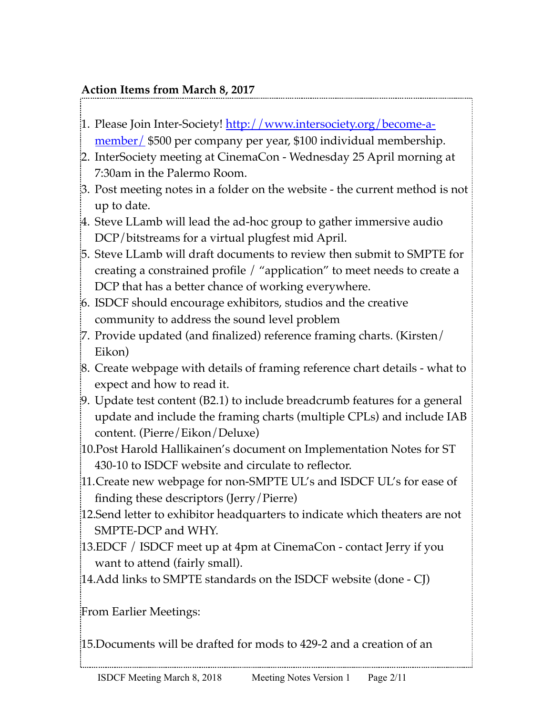# **Action Items from March 8, 2017**

- 1. Please Join Inter-Society! [http://www.intersociety.org/become-a](http://www.intersociety.org/become-a-member/)[member/](http://www.intersociety.org/become-a-member/) \$500 per company per year, \$100 individual membership.
- 2. InterSociety meeting at CinemaCon Wednesday 25 April morning at 7:30am in the Palermo Room.
- 3. Post meeting notes in a folder on the website the current method is not up to date.
- 4. Steve LLamb will lead the ad-hoc group to gather immersive audio DCP/bitstreams for a virtual plugfest mid April.
- 5. Steve LLamb will draft documents to review then submit to SMPTE for creating a constrained profile / "application" to meet needs to create a DCP that has a better chance of working everywhere.
- 6. ISDCF should encourage exhibitors, studios and the creative community to address the sound level problem
- 7. Provide updated (and finalized) reference framing charts. (Kirsten/ Eikon)
- 8. Create webpage with details of framing reference chart details what to expect and how to read it.
- 9. Update test content (B2.1) to include breadcrumb features for a general update and include the framing charts (multiple CPLs) and include IAB content. (Pierre/Eikon/Deluxe)
- 10.Post Harold Hallikainen's document on Implementation Notes for ST 430-10 to ISDCF website and circulate to reflector.
- 11.Create new webpage for non-SMPTE UL's and ISDCF UL's for ease of finding these descriptors (Jerry/Pierre)
- 12.Send letter to exhibitor headquarters to indicate which theaters are not SMPTE-DCP and WHY.
- 13.EDCF / ISDCF meet up at 4pm at CinemaCon contact Jerry if you want to attend (fairly small).
- 14.Add links to SMPTE standards on the ISDCF website (done CJ)

From Earlier Meetings:

15.Documents will be drafted for mods to 429-2 and a creation of an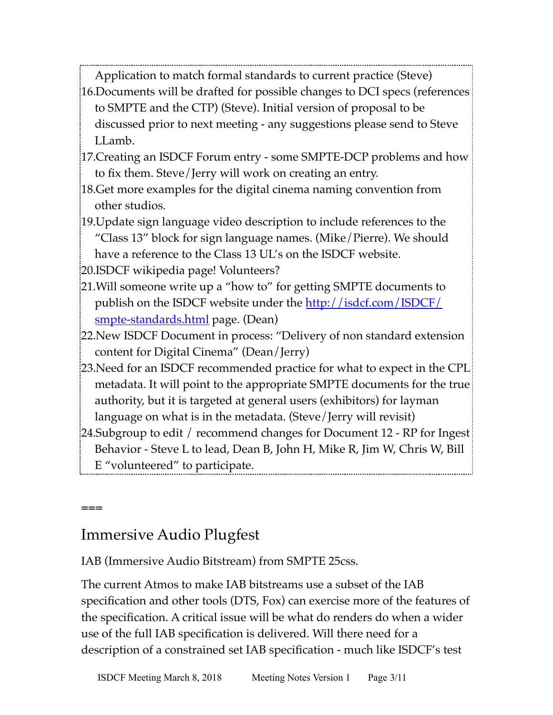Application to match formal standards to current practice (Steve)

- 16.Documents will be drafted for possible changes to DCI specs (references to SMPTE and the CTP) (Steve). Initial version of proposal to be discussed prior to next meeting - any suggestions please send to Steve LLamb.
- 17.Creating an ISDCF Forum entry some SMPTE-DCP problems and how to fix them. Steve/Jerry will work on creating an entry.
- 18.Get more examples for the digital cinema naming convention from other studios.
- 19.Update sign language video description to include references to the "Class 13" block for sign language names. (Mike/Pierre). We should have a reference to the Class 13 UL's on the ISDCF website.

20.ISDCF wikipedia page! Volunteers?

- 21.Will someone write up a "how to" for getting SMPTE documents to publish on the ISDCF website under the [http://isdcf.com/ISDCF/](http://isdcf.com/ISDCF/smpte-standards.html) [smpte-standards.html](http://isdcf.com/ISDCF/smpte-standards.html) page. (Dean)
- 22.New ISDCF Document in process: "Delivery of non standard extension content for Digital Cinema" (Dean/Jerry)
- 23.Need for an ISDCF recommended practice for what to expect in the CPL metadata. It will point to the appropriate SMPTE documents for the true authority, but it is targeted at general users (exhibitors) for layman language on what is in the metadata. (Steve/Jerry will revisit)
- 24.Subgroup to edit / recommend changes for Document 12 RP for Ingest Behavior - Steve L to lead, Dean B, John H, Mike R, Jim W, Chris W, Bill E "volunteered" to participate.

# Immersive Audio Plugfest

**===**

IAB (Immersive Audio Bitstream) from SMPTE 25css.

The current Atmos to make IAB bitstreams use a subset of the IAB specification and other tools (DTS, Fox) can exercise more of the features of the specification. A critical issue will be what do renders do when a wider use of the full IAB specification is delivered. Will there need for a description of a constrained set IAB specification - much like ISDCF's test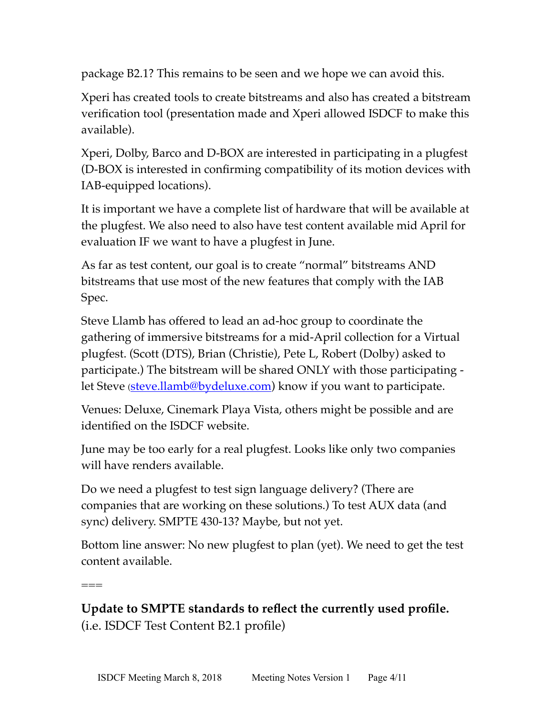package B2.1? This remains to be seen and we hope we can avoid this.

Xperi has created tools to create bitstreams and also has created a bitstream verification tool (presentation made and Xperi allowed ISDCF to make this available).

Xperi, Dolby, Barco and D-BOX are interested in participating in a plugfest (D-BOX is interested in confirming compatibility of its motion devices with IAB-equipped locations).

It is important we have a complete list of hardware that will be available at the plugfest. We also need to also have test content available mid April for evaluation IF we want to have a plugfest in June.

As far as test content, our goal is to create "normal" bitstreams AND bitstreams that use most of the new features that comply with the IAB Spec.

Steve Llamb has offered to lead an ad-hoc group to coordinate the gathering of immersive bitstreams for a mid-April collection for a Virtual plugfest. (Scott (DTS), Brian (Christie), Pete L, Robert (Dolby) asked to participate.) The bitstream will be shared ONLY with those participating let Steve ([steve.llamb@bydeluxe.com\)](mailto:steve.llamb@bydeluxe.com) know if you want to participate.

Venues: Deluxe, Cinemark Playa Vista, others might be possible and are identified on the ISDCF website.

June may be too early for a real plugfest. Looks like only two companies will have renders available.

Do we need a plugfest to test sign language delivery? (There are companies that are working on these solutions.) To test AUX data (and sync) delivery. SMPTE 430-13? Maybe, but not yet.

Bottom line answer: No new plugfest to plan (yet). We need to get the test content available.

===

**Update to SMPTE standards to reflect the currently used profile.** (i.e. ISDCF Test Content B2.1 profile)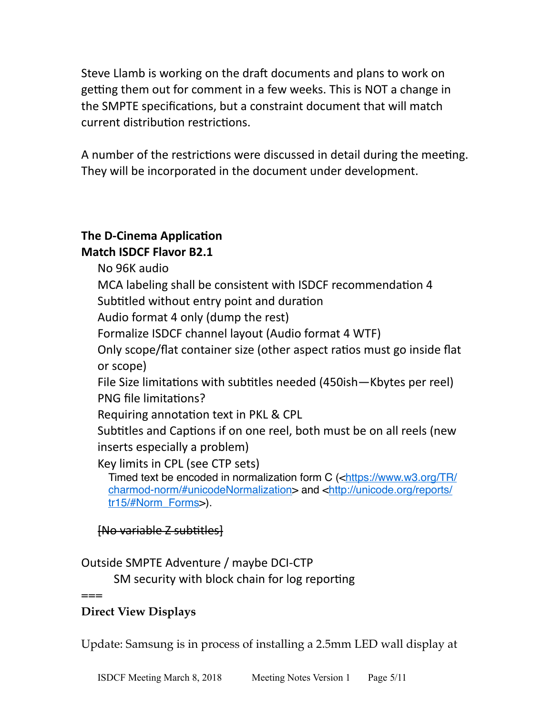Steve Llamb is working on the draft documents and plans to work on getting them out for comment in a few weeks. This is NOT a change in the SMPTE specifications, but a constraint document that will match current distribution restrictions.

A number of the restrictions were discussed in detail during the meeting. They will be incorporated in the document under development.

# **The D-Cinema Application**

### **Match ISDCF Flavor B2.1**

No 96K audio

MCA labeling shall be consistent with ISDCF recommendation 4 Subtitled without entry point and duration

Audio format 4 only (dump the rest)

Formalize ISDCF channel layout (Audio format 4 WTF)

Only scope/flat container size (other aspect ratios must go inside flat or scope)

File Size limitations with subtitles needed  $(450ish-Kbytes per real)$ PNG file limitations?

Requiring annotation text in PKL & CPL

Subtitles and Captions if on one reel, both must be on all reels (new inserts especially a problem)

Key limits in CPL (see CTP sets)

Timed text be encoded in normalization form C (<[https://www.w3.org/TR/](https://www.w3.org/TR/charmod-norm/%23unicodeNormalization) [charmod-norm/#unicodeNormalization](https://www.w3.org/TR/charmod-norm/%23unicodeNormalization)> and [<http://unicode.org/reports/](http://unicode.org/reports/tr15/%23Norm_Forms) [tr15/#Norm\\_Forms>](http://unicode.org/reports/tr15/%23Norm_Forms)).

# $[No\ variable\ Z\ subtithes]$

# Outside SMPTE Adventure / maybe DCI-CTP

SM security with block chain for log reporting

**===**

# **Direct View Displays**

Update: Samsung is in process of installing a 2.5mm LED wall display at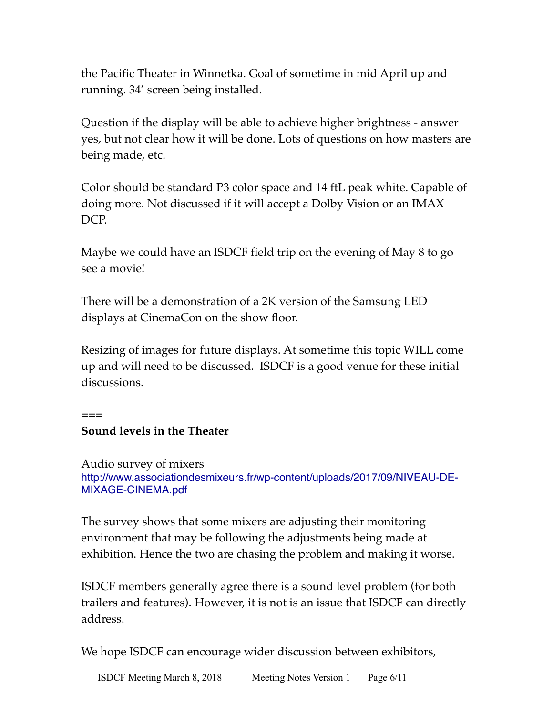the Pacific Theater in Winnetka. Goal of sometime in mid April up and running. 34' screen being installed.

Question if the display will be able to achieve higher brightness - answer yes, but not clear how it will be done. Lots of questions on how masters are being made, etc.

Color should be standard P3 color space and 14 ftL peak white. Capable of doing more. Not discussed if it will accept a Dolby Vision or an IMAX DCP.

Maybe we could have an ISDCF field trip on the evening of May 8 to go see a movie!

There will be a demonstration of a 2K version of the Samsung LED displays at CinemaCon on the show floor.

Resizing of images for future displays. At sometime this topic WILL come up and will need to be discussed. ISDCF is a good venue for these initial discussions.

**===**

### **Sound levels in the Theater**

Audio survey of mixers [http://www.associationdesmixeurs.fr/wp-content/uploads/2017/09/NIVEAU-DE-](http://www.associationdesmixeurs.fr/wp-content/uploads/2017/09/NIVEAU-DE-MIXAGE-CINEMA.pdf)[MIXAGE-CINEMA.pdf](http://www.associationdesmixeurs.fr/wp-content/uploads/2017/09/NIVEAU-DE-MIXAGE-CINEMA.pdf)

The survey shows that some mixers are adjusting their monitoring environment that may be following the adjustments being made at exhibition. Hence the two are chasing the problem and making it worse.

ISDCF members generally agree there is a sound level problem (for both trailers and features). However, it is not is an issue that ISDCF can directly address.

We hope ISDCF can encourage wider discussion between exhibitors,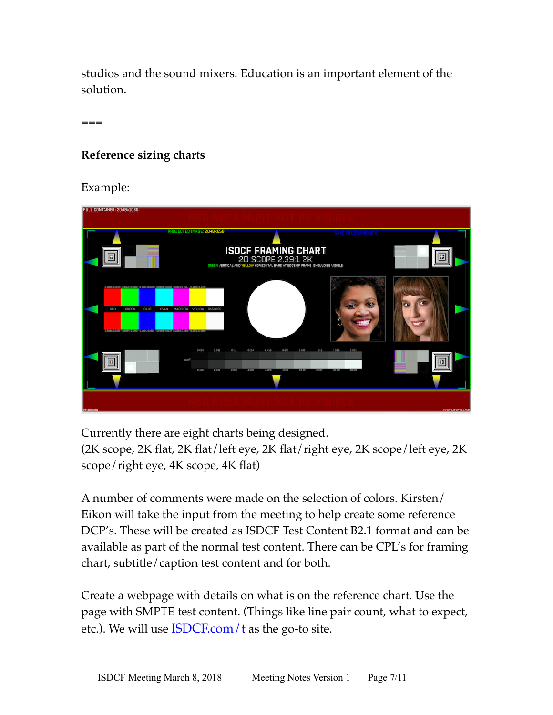studios and the sound mixers. Education is an important element of the solution.

**===**

### **Reference sizing charts**

Example:



Currently there are eight charts being designed.

(2K scope, 2K flat, 2K flat/left eye, 2K flat/right eye, 2K scope/left eye, 2K scope/right eye, 4K scope, 4K flat)

A number of comments were made on the selection of colors. Kirsten/ Eikon will take the input from the meeting to help create some reference DCP's. These will be created as ISDCF Test Content B2.1 format and can be available as part of the normal test content. There can be CPL's for framing chart, subtitle/caption test content and for both.

Create a webpage with details on what is on the reference chart. Use the page with SMPTE test content. (Things like line pair count, what to expect, etc.). We will use  $ISDCF.com/t$  as the go-to site.</u>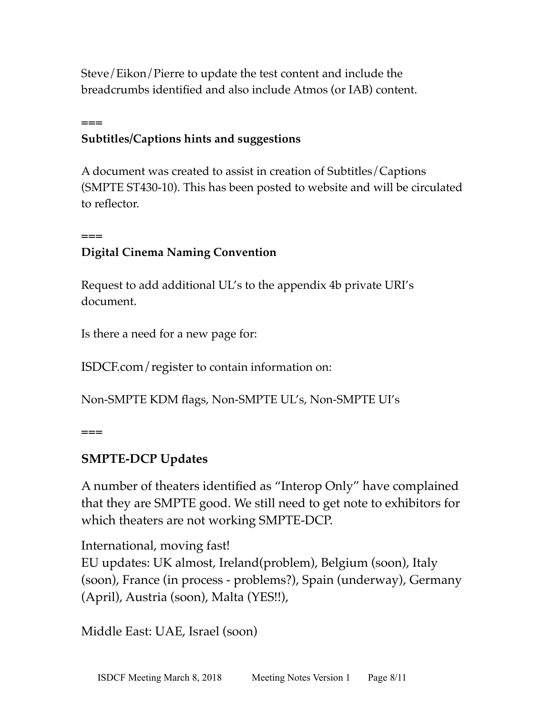Steve/Eikon/Pierre to update the test content and include the breadcrumbs identified and also include Atmos (or IAB) content.

# **Subtitles/Captions hints and suggestions**

A document was created to assist in creation of Subtitles/Captions (SMPTE ST430-10). This has been posted to website and will be circulated to reflector.

# **Digital Cinema Naming Convention**

Request to add additional UL's to the appendix 4b private URI's document.

Is there a need for a new page for:

ISDCF.com/register to contain information on:

Non-SMPTE KDM flags, Non-SMPTE UL's, Non-SMPTE UI's

**===**

**===**

**===**

# **SMPTE-DCP Updates**

A number of theaters identified as "Interop Only" have complained that they are SMPTE good. We still need to get note to exhibitors for which theaters are not working SMPTE-DCP.

International, moving fast! EU updates: UK almost, Ireland(problem), Belgium (soon), Italy (soon), France (in process - problems?), Spain (underway), Germany (April), Austria (soon), Malta (YES!!),

Middle East: UAE, Israel (soon)